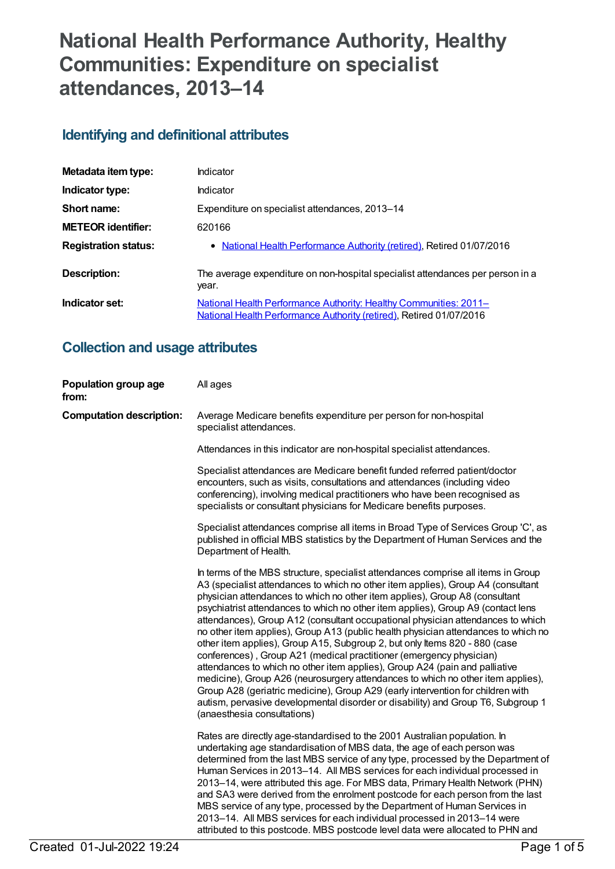# **National Health Performance Authority, Healthy Communities: Expenditure on specialist attendances, 2013–14**

### **Identifying and definitional attributes**

| Metadata item type:         | Indicator                                                                                                                                |
|-----------------------------|------------------------------------------------------------------------------------------------------------------------------------------|
| Indicator type:             | Indicator                                                                                                                                |
| Short name:                 | Expenditure on specialist attendances, 2013-14                                                                                           |
| <b>METEOR</b> identifier:   | 620166                                                                                                                                   |
| <b>Registration status:</b> | • National Health Performance Authority (retired), Retired 01/07/2016                                                                    |
| <b>Description:</b>         | The average expenditure on non-hospital specialist attendances per person in a<br>year.                                                  |
| Indicator set:              | National Health Performance Authority: Healthy Communities: 2011-<br>National Health Performance Authority (retired), Retired 01/07/2016 |

### **Collection and usage attributes**

| Population group age<br>from:   | All ages                                                                                                                                                                                                                                                                                                                                                                                                                                                                                                                                                                                                                                                                                                                                                                                                                                                                                                                                                                                                                                       |
|---------------------------------|------------------------------------------------------------------------------------------------------------------------------------------------------------------------------------------------------------------------------------------------------------------------------------------------------------------------------------------------------------------------------------------------------------------------------------------------------------------------------------------------------------------------------------------------------------------------------------------------------------------------------------------------------------------------------------------------------------------------------------------------------------------------------------------------------------------------------------------------------------------------------------------------------------------------------------------------------------------------------------------------------------------------------------------------|
| <b>Computation description:</b> | Average Medicare benefits expenditure per person for non-hospital<br>specialist attendances.                                                                                                                                                                                                                                                                                                                                                                                                                                                                                                                                                                                                                                                                                                                                                                                                                                                                                                                                                   |
|                                 | Attendances in this indicator are non-hospital specialist attendances.                                                                                                                                                                                                                                                                                                                                                                                                                                                                                                                                                                                                                                                                                                                                                                                                                                                                                                                                                                         |
|                                 | Specialist attendances are Medicare benefit funded referred patient/doctor<br>encounters, such as visits, consultations and attendances (including video<br>conferencing), involving medical practitioners who have been recognised as<br>specialists or consultant physicians for Medicare benefits purposes.                                                                                                                                                                                                                                                                                                                                                                                                                                                                                                                                                                                                                                                                                                                                 |
|                                 | Specialist attendances comprise all items in Broad Type of Services Group 'C', as<br>published in official MBS statistics by the Department of Human Services and the<br>Department of Health.                                                                                                                                                                                                                                                                                                                                                                                                                                                                                                                                                                                                                                                                                                                                                                                                                                                 |
|                                 | In terms of the MBS structure, specialist attendances comprise all items in Group<br>A3 (specialist attendances to which no other item applies), Group A4 (consultant<br>physician attendances to which no other item applies), Group A8 (consultant<br>psychiatrist attendances to which no other item applies), Group A9 (contact lens<br>attendances), Group A12 (consultant occupational physician attendances to which<br>no other item applies), Group A13 (public health physician attendances to which no<br>other item applies), Group A15, Subgroup 2, but only Items 820 - 880 (case<br>conferences), Group A21 (medical practitioner (emergency physician)<br>attendances to which no other item applies), Group A24 (pain and palliative<br>medicine), Group A26 (neurosurgery attendances to which no other item applies),<br>Group A28 (geriatric medicine), Group A29 (early intervention for children with<br>autism, pervasive developmental disorder or disability) and Group T6, Subgroup 1<br>(anaesthesia consultations) |
|                                 | Rates are directly age-standardised to the 2001 Australian population. In<br>undertaking age standardisation of MBS data, the age of each person was<br>determined from the last MBS service of any type, processed by the Department of<br>Human Services in 2013-14. All MBS services for each individual processed in<br>2013–14, were attributed this age. For MBS data, Primary Health Network (PHN)<br>and SA3 were derived from the enrolment postcode for each person from the last<br>MBS service of any type, processed by the Department of Human Services in<br>2013-14. All MBS services for each individual processed in 2013-14 were<br>attributed to this postcode. MBS postcode level data were allocated to PHN and                                                                                                                                                                                                                                                                                                          |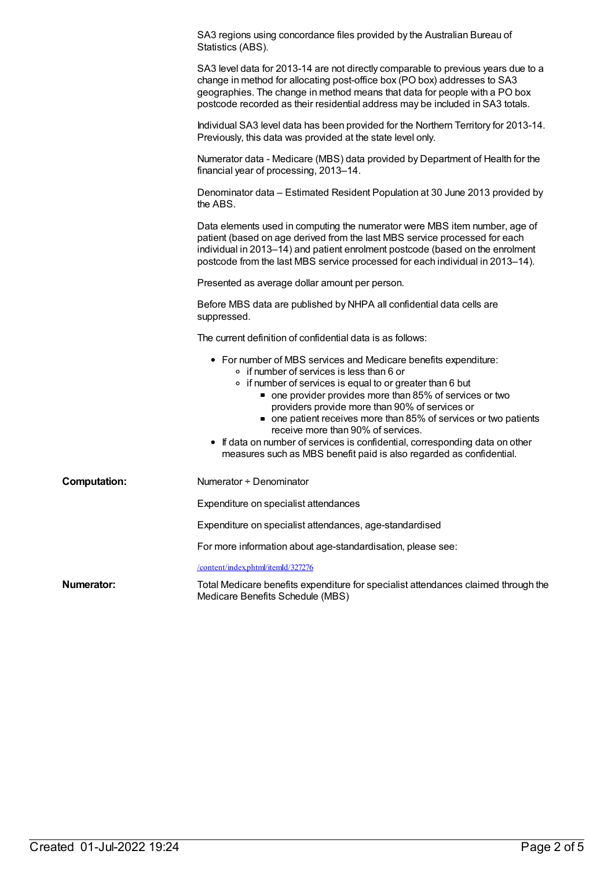|                     | SA3 regions using concordance files provided by the Australian Bureau of<br>Statistics (ABS).                                                                                                                                                                                                                                                                                                                                                                                                                                                            |
|---------------------|----------------------------------------------------------------------------------------------------------------------------------------------------------------------------------------------------------------------------------------------------------------------------------------------------------------------------------------------------------------------------------------------------------------------------------------------------------------------------------------------------------------------------------------------------------|
|                     | SA3 level data for 2013-14 are not directly comparable to previous years due to a<br>change in method for allocating post-office box (PO box) addresses to SA3<br>geographies. The change in method means that data for people with a PO box<br>postcode recorded as their residential address may be included in SA3 totals.                                                                                                                                                                                                                            |
|                     | Individual SA3 level data has been provided for the Northern Territory for 2013-14.<br>Previously, this data was provided at the state level only.                                                                                                                                                                                                                                                                                                                                                                                                       |
|                     | Numerator data - Medicare (MBS) data provided by Department of Health for the<br>financial year of processing, 2013-14.                                                                                                                                                                                                                                                                                                                                                                                                                                  |
|                     | Denominator data – Estimated Resident Population at 30 June 2013 provided by<br>the ABS.                                                                                                                                                                                                                                                                                                                                                                                                                                                                 |
|                     | Data elements used in computing the numerator were MBS item number, age of<br>patient (based on age derived from the last MBS service processed for each<br>individual in 2013-14) and patient enrolment postcode (based on the enrolment<br>postcode from the last MBS service processed for each individual in 2013-14).                                                                                                                                                                                                                               |
|                     | Presented as average dollar amount per person.                                                                                                                                                                                                                                                                                                                                                                                                                                                                                                           |
|                     | Before MBS data are published by NHPA all confidential data cells are<br>suppressed.                                                                                                                                                                                                                                                                                                                                                                                                                                                                     |
|                     | The current definition of confidential data is as follows:                                                                                                                                                                                                                                                                                                                                                                                                                                                                                               |
|                     | • For number of MBS services and Medicare benefits expenditure:<br>∘ if number of services is less than 6 or<br>• if number of services is equal to or greater than 6 but<br>• one provider provides more than 85% of services or two<br>providers provide more than 90% of services or<br>• one patient receives more than 85% of services or two patients<br>receive more than 90% of services.<br>• If data on number of services is confidential, corresponding data on other<br>measures such as MBS benefit paid is also regarded as confidential. |
| <b>Computation:</b> | Numerator + Denominator                                                                                                                                                                                                                                                                                                                                                                                                                                                                                                                                  |
|                     | Expenditure on specialist attendances                                                                                                                                                                                                                                                                                                                                                                                                                                                                                                                    |
|                     | Expenditure on specialist attendances, age-standardised                                                                                                                                                                                                                                                                                                                                                                                                                                                                                                  |
|                     | For more information about age-standardisation, please see:                                                                                                                                                                                                                                                                                                                                                                                                                                                                                              |
|                     | /content/index.phtml/itemId/327276                                                                                                                                                                                                                                                                                                                                                                                                                                                                                                                       |
| Numerator:          | Total Medicare benefits expenditure for specialist attendances claimed through the<br>Medicare Benefits Schedule (MBS)                                                                                                                                                                                                                                                                                                                                                                                                                                   |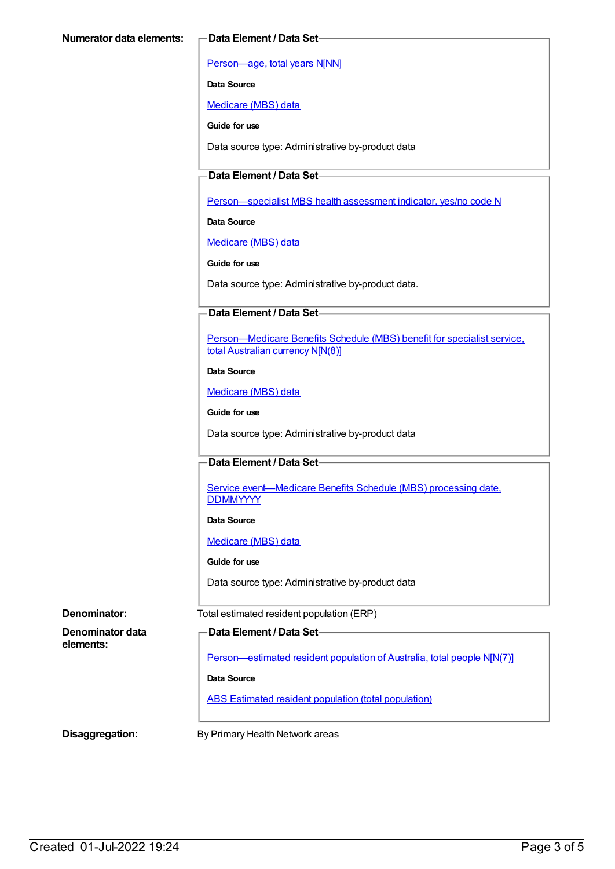[Person—age,](https://meteor.aihw.gov.au/content/303794) total years N[NN]

**Data Source**

[Medicare](https://meteor.aihw.gov.au/content/394305) (MBS) data

**Guide for use**

Data source type: Administrative by-product data

#### **Data Element / Data Set**

[Person—specialist](https://meteor.aihw.gov.au/content/504845) MBS health assessment indicator, yes/no code N

**Data Source**

[Medicare](https://meteor.aihw.gov.au/content/394305) (MBS) data

**Guide for use**

Data source type: Administrative by-product data.

#### **Data Element / Data Set**

[Person—Medicare](https://meteor.aihw.gov.au/content/556892) Benefits Schedule (MBS) benefit for specialist service, total Australian currency N[N(8)]

#### **Data Source**

[Medicare](https://meteor.aihw.gov.au/content/394305) (MBS) data

**Guide for use**

Data source type: Administrative by-product data

#### **Data Element / Data Set**

Service [event—Medicare](https://meteor.aihw.gov.au/content/573414) Benefits Schedule (MBS) processing date, **DDMMYYYY** 

#### **Data Source**

[Medicare](https://meteor.aihw.gov.au/content/394305) (MBS) data

**Guide for use**

Data source type: Administrative by-product data

**Denominator:** Total estimated resident population (ERP)

**elements:**

**Denominator data**

**Data Element / Data Set**

[Person—estimated](https://meteor.aihw.gov.au/content/388656) resident population of Australia, total people N[N(7)]

**Data Source**

ABS Estimated resident population (total [population\)](https://meteor.aihw.gov.au/content/393625)

**Disaggregation:** By Primary Health Network areas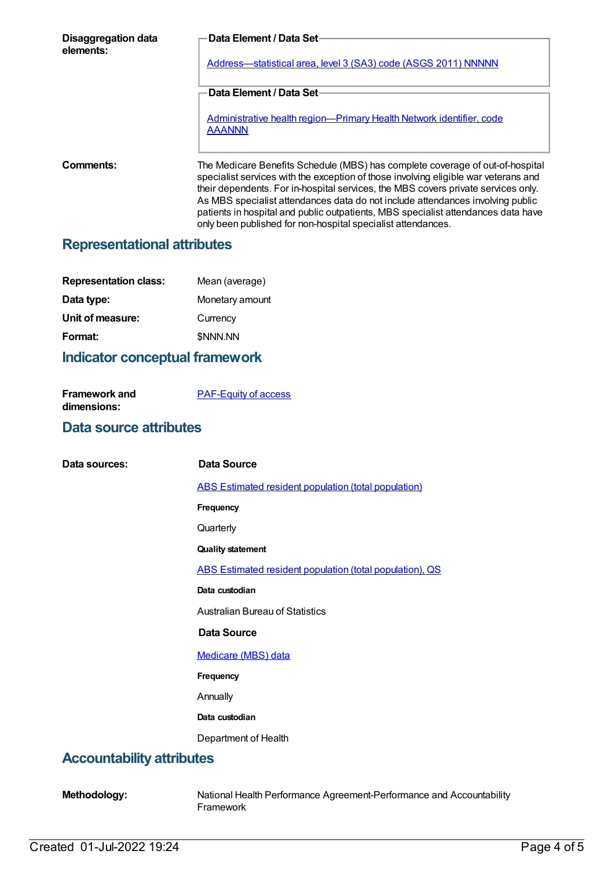| Disaggregation data<br>elements: | <b>Data Element / Data Set-</b>                                                                                                                                                                                                                                                                                                                                                                                                  |
|----------------------------------|----------------------------------------------------------------------------------------------------------------------------------------------------------------------------------------------------------------------------------------------------------------------------------------------------------------------------------------------------------------------------------------------------------------------------------|
|                                  | Address-statistical area, level 3 (SA3) code (ASGS 2011) NNNNN                                                                                                                                                                                                                                                                                                                                                                   |
|                                  | <b>Data Element / Data Set-</b>                                                                                                                                                                                                                                                                                                                                                                                                  |
|                                  | Administrative health region-Primary Health Network identifier, code<br><b>AAANNN</b>                                                                                                                                                                                                                                                                                                                                            |
| Comments:                        | The Medicare Benefits Schedule (MBS) has complete coverage of out-of-hospital<br>specialist services with the exception of those involving eligible war veterans and<br>their dependents. For in-hospital services, the MBS covers private services only.<br>As MBS specialist attendances data do not include attendances involving public<br>patients in hospital and public outpatients, MBS specialist attendances data have |

only been published for non-hospital specialist attendances.

### **Representational attributes**

| <b>Representation class:</b> | Mean (average)  |
|------------------------------|-----------------|
| Data type:                   | Monetary amount |
| Unit of measure:             | Currency        |
| Format:                      | \$NNN.NN        |
|                              |                 |

### **Indicator conceptual framework**

| Framework and | <b>PAF-Equity of access</b> |
|---------------|-----------------------------|
| dimensions:   |                             |

### **Data source attributes**

| Data sources:                    | <b>Data Source</b>                                       |
|----------------------------------|----------------------------------------------------------|
|                                  | ABS Estimated resident population (total population)     |
|                                  | Frequency                                                |
|                                  | Quarterly                                                |
|                                  | <b>Quality statement</b>                                 |
|                                  | ABS Estimated resident population (total population), QS |
|                                  | Data custodian                                           |
|                                  | <b>Australian Bureau of Statistics</b>                   |
|                                  | <b>Data Source</b>                                       |
|                                  | Medicare (MBS) data                                      |
|                                  | Frequency                                                |
|                                  | Annually                                                 |
|                                  | Data custodian                                           |
|                                  | Department of Health                                     |
| <b>Accountability attributes</b> |                                                          |

**Methodology:** National Health Performance Agreement-Performance and Accountability Framework